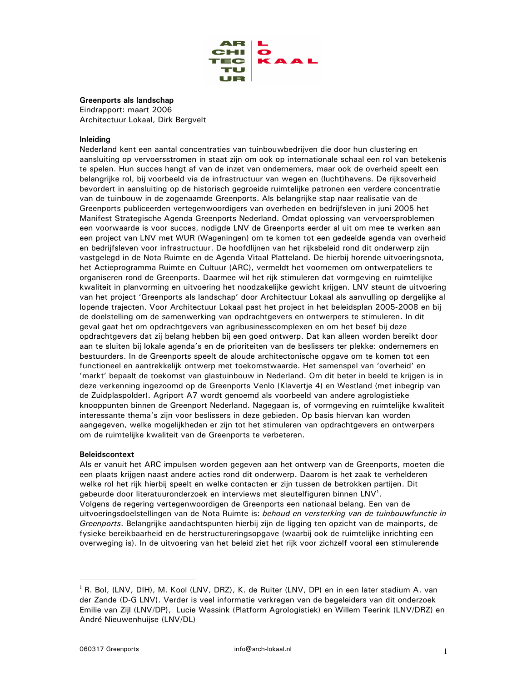

# Greenports als landschap

Eindrapport: maart 2006 Architectuur Lokaal, Dirk Bergvelt

# Inleidina

Nederland kent een aantal concentraties van tuinbouwbedrijven die door hun clustering en aansluiting op vervoersstromen in staat zijn om ook op internationale schaal een rol van betekenis te spelen. Hun succes hangt af van de inzet van ondernemers, maar ook de overheid speelt een belangrijke rol, bij voorbeeld via de infrastructuur van wegen en (lucht)havens. De rijksoverheid bevordert in aansluiting op de historisch gegroeide ruimtelijke patronen een verdere concentratie van de tuinbouw in de zogenaamde Greenports. Als belangrijke stap naar realisatie van de Greenports publiceerden vertegenwoordigers van overheden en bedrijfsleven in juni 2005 het Manifest Strategische Agenda Greenports Nederland. Omdat oplossing van vervoersproblemen een voorwaarde is voor succes, nodigde LNV de Greenports eerder al uit om mee te werken aan een project van LNV met WUR (Wageningen) om te komen tot een gedeelde agenda van overheid en bedrijfsleven voor infrastructuur. De hoofdlijnen van het rijksbeleid rond dit onderwerp zijn vastgelegd in de Nota Ruimte en de Agenda Vitaal Platteland. De hierbij horende uitvoeringsnota, het Actieprogramma Ruimte en Cultuur (ARC), vermeldt het voornemen om ontwerpateliers te organiseren rond de Greenports. Daarmee wil het rijk stimuleren dat vormgeving en ruimtelijke kwaliteit in planvorming en uitvoering het noodzakelijke gewicht krijgen. LNV steunt de uitvoering van het project 'Greenports als landschap' door Architectuur Lokaal als aanvulling op dergelijke al lopende trajecten. Voor Architectuur Lokaal past het project in het beleidsplan 2005-2008 en bij de doelstelling om de samenwerking van opdrachtgevers en ontwerpers te stimuleren. In dit geval gaat het om opdrachtgevers van agribusinesscomplexen en om het besef bij deze opdrachtgevers dat zij belang hebben bij een goed ontwerp. Dat kan alleen worden bereikt door aan te sluiten bij lokale agenda's en de prioriteiten van de beslissers ter plekke: ondernemers en bestuurders. In de Greenports speelt de aloude architectonische opgave om te komen tot een functioneel en aantrekkelijk ontwerp met toekomstwaarde. Het samenspel van 'overheid' en 'markt' bepaalt de toekomst van glastuinbouw in Nederland. Om dit beter in beeld te krijgen is in deze verkenning ingezoomd op de Greenports Venlo (Klavertje 4) en Westland (met inbegrip van de Zuidplaspolder). Agriport A7 wordt genoemd als voorbeeld van andere agrologistieke knooppunten binnen de Greenport Nederland. Nagegaan is, of vormgeving en ruimtelijke kwaliteit interessante thema's zijn voor beslissers in deze gebieden. Op basis hiervan kan worden aangegeven, welke mogelijkheden er zijn tot het stimuleren van opdrachtgevers en ontwerpers om de ruimtelijke kwaliteit van de Greenports te verbeteren.

# **Beleidscontext**

Als er vanuit het ARC impulsen worden gegeven aan het ontwerp van de Greenports, moeten die een plaats krijgen naast andere acties rond dit onderwerp. Daarom is het zaak te verhelderen welke rol het rijk hierbij speelt en welke contacten er zijn tussen de betrokken partijen. Dit gebeurde door literatuuronderzoek en interviews met sleutelfiguren binnen LNV<sup>1</sup>. Volgens de regering vertegenwoordigen de Greenports een nationaal belang. Een van de uitvoeringsdoelstellingen van de Nota Ruimte is: behoud en versterking van de tuinbouwfunctie in Greenports. Belangrijke aandachtspunten hierbij zijn de ligging ten opzicht van de mainports, de fysieke bereikbaarheid en de herstructureringsopgave (waarbij ook de ruimtelijke inrichting een overweging is). In de uitvoering van het beleid ziet het rijk voor zichzelf vooral een stimulerende

 $^{1}$  R. Bol, (LNV, DIH), M. Kool (LNV, DRZ), K. de Ruiter (LNV, DP) en in een later stadium A. van der Zande (D-G LNV). Verder is veel informatie verkregen van de begeleiders van dit onderzoek Emilie van Zijl (LNV/DP), Lucie Wassink (Platform Agrologistiek) en Willem Teerink (LNV/DRZ) en André Nieuwenhuijse (LNV/DL)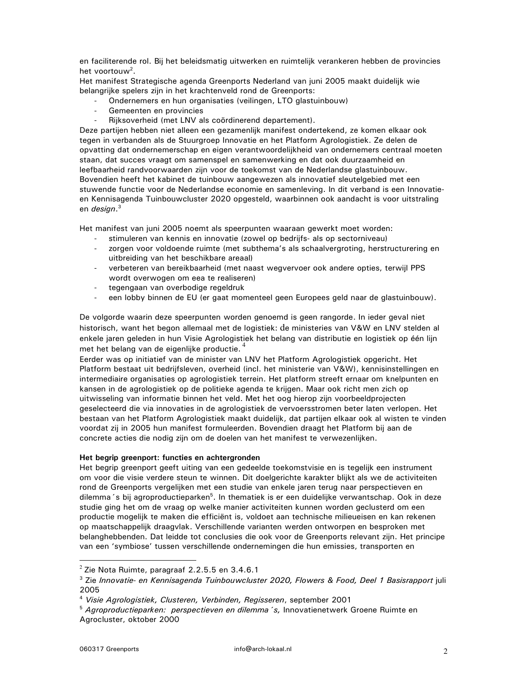en faciliterende rol. Bij het beleidsmatig uitwerken en ruimtelijk verankeren hebben de provincies het voortouw<sup>2</sup>.

Het manifest Strategische agenda Greenports Nederland van juni 2005 maakt duidelijk wie belangrijke spelers zijn in het krachtenveld rond de Greenports:

- Ondernemers en hun organisaties (veilingen, LTO glastuinbouw)
- $\overline{a}$ Gemeenten en provincies
- Rijksoverheid (met LNV als coördinerend departement).

Deze partijen hebben niet alleen een gezamenlijk manifest ondertekend, ze komen elkaar ook tegen in verbanden als de Stuurgroep Innovatie en het Platform Agrologistiek. Ze delen de opvatting dat ondernemerschap en eigen verantwoordelijkheid van ondernemers centraal moeten staan, dat succes vraagt om samenspel en samenwerking en dat ook duurzaamheid en leefbaarheid randvoorwaarden zijn voor de toekomst van de Nederlandse glastuinbouw. Bovendien heeft het kabinet de tuinbouw aangewezen als innovatief sleutelgebied met een stuwende functie voor de Nederlandse economie en samenleving. In dit verband is een Innovatieen Kennisagenda Tuinbouwcluster 2020 opgesteld, waarbinnen ook aandacht is voor uitstraling en design.<sup>3</sup>

Het manifest van juni 2005 noemt als speerpunten waaraan gewerkt moet worden:

- stimuleren van kennis en innovatie (zowel op bedrijfs- als op sectorniveau)
- zorgen voor voldoende ruimte (met subthema's als schaalvergroting, herstructurering en uitbreiding van het beschikbare areaal)
- verbeteren van bereikbaarheid (met naast wegvervoer ook andere opties, terwijl PPS wordt overwogen om eea te realiseren)
- $\omega_{\rm{max}}$ tegengaan van overbodige regeldruk
- een lobby binnen de EU (er gaat momenteel geen Europees geld naar de glastuinbouw).

De volgorde waarin deze speerpunten worden genoemd is geen rangorde. In ieder geval niet historisch, want het begon allemaal met de logistiek: de ministeries van V&W en LNV stelden al enkele jaren geleden in hun Visie Agrologistiek het belang van distributie en logistiek op één lijn met het belang van de eigenlijke productie.<sup>4</sup>

Eerder was op initiatief van de minister van LNV het Platform Agrologistiek opgericht. Het Platform bestaat uit bedrijfsleven, overheid (incl. het ministerie van V&W), kennisinstellingen en intermediaire organisaties op agrologistiek terrein. Het platform streeft ernaar om knelpunten en kansen in de agrologistiek op de politieke agenda te krijgen. Maar ook richt men zich op uitwisseling van informatie binnen het veld. Met het oog hierop zijn voorbeeldprojecten geselecteerd die via innovaties in de agrologistiek de vervoersstromen beter laten verlopen. Het bestaan van het Platform Agrologistiek maakt duidelijk, dat partijen elkaar ook al wisten te vinden voordat zij in 2005 hun manifest formuleerden. Bovendien draagt het Platform bij aan de concrete acties die nodig zijn om de doelen van het manifest te verwezenlijken.

# Het begrip greenport: functies en achtergronden

Het begrip greenport geeft uiting van een gedeelde toekomstvisie en is tegelijk een instrument om voor die visie verdere steun te winnen. Dit doelgerichte karakter blijkt als we de activiteiten rond de Greenports vergelijken met een studie van enkele jaren terug naar perspectieven en dilemma 's bij agroproductieparken<sup>5</sup>. In thematiek is er een duidelijke verwantschap. Ook in deze studie ging het om de vraag op welke manier activiteiten kunnen worden geclusterd om een productie mogelijk te maken die efficiënt is, voldoet aan technische milieueisen en kan rekenen op maatschappelijk draagvlak. Verschillende varianten werden ontworpen en besproken met belanghebbenden. Dat leidde tot conclusies die ook voor de Greenports relevant zijn. Het principe van een 'symbiose' tussen verschillende ondernemingen die hun emissies, transporten en

 $2$  Zie Nota Ruimte, paragraaf 2.2.5.5 en 3.4.6.1

<sup>&</sup>lt;sup>3</sup> Zie Innovatie- en Kennisagenda Tuinbouwcluster 2020, Flowers & Food, Deel 1 Basisrapport juli 2005

<sup>&</sup>lt;sup>4</sup> Visie Agrologistiek, Clusteren, Verbinden, Regisseren, september 2001

<sup>&</sup>lt;sup>5</sup> Agroproductieparken: perspectieven en dilemma 's, Innovatienetwerk Groene Ruimte en Agrocluster, oktober 2000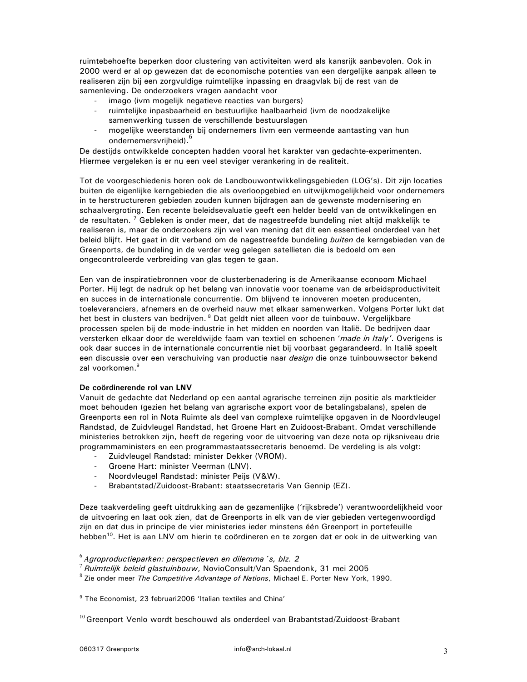ruimtebehoefte beperken door clustering van activiteiten werd als kansrijk aanbevolen. Ook in 2000 werd er al op gewezen dat de economische potenties van een dergelijke aanpak alleen te realiseren zijn bij een zorgvuldige ruimtelijke inpassing en draagvlak bij de rest van de samenleving. De onderzoekers vragen aandacht voor

- imago (ivm mogelijk negatieve reacties van burgers)
- ruimtelijke inpasbaarheid en bestuurlijke haalbaarheid (ivm de noodzakelijke samenwerking tussen de verschillende bestuurslagen
- $\overline{a}$ mogelijke weerstanden bij ondernemers (ivm een vermeende aantasting van hun ondernemersvrijheid).<sup>6</sup>

De destijds ontwikkelde concepten hadden vooral het karakter van gedachte-experimenten. Hiermee vergeleken is er nu een veel steviger verankering in de realiteit.

Tot de voorgeschiedenis horen ook de Landbouwontwikkelingsgebieden (LOG's). Dit zijn locaties buiten de eigenlijke kerngebieden die als overloopgebied en uitwijkmogelijkheid voor ondernemers in te herstructureren gebieden zouden kunnen bijdragen aan de gewenste modernisering en schaalvergroting. Een recente beleidsevaluatie geeft een helder beeld van de ontwikkelingen en de resultaten. <sup>7</sup> Gebleken is onder meer, dat de nagestreefde bundeling niet altijd makkelijk te realiseren is, maar de onderzoekers zijn wel van mening dat dit een essentieel onderdeel van het beleid blijft. Het gaat in dit verband om de nagestreefde bundeling buiten de kerngebieden van de Greenports, de bundeling in de verder weg gelegen satellieten die is bedoeld om een ongecontroleerde verbreiding van glas tegen te gaan.

Een van de inspiratiebronnen voor de clusterbenadering is de Amerikaanse econoom Michael Porter. Hij legt de nadruk op het belang van innovatie voor toename van de arbeidsproductiviteit en succes in de internationale concurrentie. Om blijvend te innoveren moeten producenten, toeleveranciers, afnemers en de overheid nauw met elkaar samenwerken. Volgens Porter lukt dat het best in clusters van bedrijven.<sup>8</sup> Dat geldt niet alleen voor de tuinbouw. Vergelijkbare processen spelen bij de mode-industrie in het midden en noorden van Italië. De bedrijven daar versterken elkaar door de wereldwijde faam van textiel en schoenen 'made in Italy'. Overigens is ook daar succes in de internationale concurrentie niet bij voorbaat gegarandeerd. In Italië speelt een discussie over een verschuiving van productie naar *design* die onze tuinbouwsector bekend zal voorkomen.<sup>9</sup>

# De coördinerende rol van LNV

Vanuit de gedachte dat Nederland op een aantal agrarische terreinen zijn positie als marktleider moet behouden (gezien het belang van agrarische export voor de betalingsbalans), spelen de Greenports een rol in Nota Ruimte als deel van complexe ruimtelijke opgaven in de Noordvleugel Randstad, de Zuidvleugel Randstad, het Groene Hart en Zuidoost-Brabant. Omdat verschillende ministeries betrokken zijn, heeft de regering voor de uitvoering van deze nota op rijksniveau drie programmaministers en een programmastaatssecretaris benoemd. De verdeling is als volgt:

- Zuidvleugel Randstad: minister Dekker (VROM). Groene Hart: minister Veerman (LNV).  $\mathbf{r}$
- Noordvleugel Randstad: minister Peijs (V&W).
- Brabantstad/Zuidoost-Brabant: staatssecretaris Van Gennip (EZ).

Deze taakverdeling geeft uitdrukking aan de gezamenlijke ('rijksbrede') verantwoordelijkheid voor de uitvoering en laat ook zien, dat de Greenports in elk van de vier gebieden vertegenwoordigd zijn en dat dus in principe de vier ministeries ieder minstens één Greenport in portefeuille hebben<sup>10</sup>. Het is aan LNV om hierin te coördineren en te zorgen dat er ook in de uitwerking van

 $6$  Agroproductieparken: perspectieven en dilemma 's, blz. 2

 $7$  Ruimtelijk beleid glastuinbouw, NovioConsult/Van Spaendonk, 31 mei 2005

<sup>&</sup>lt;sup>8</sup> Zie onder meer The Competitive Advantage of Nations, Michael E. Porter New York, 1990.

<sup>&</sup>lt;sup>9</sup> The Economist, 23 februari 2006 'Italian textiles and China'

 $^{10}$  Greenport Venlo wordt beschouwd als onderdeel van Brabantstad/Zuidoost-Brabant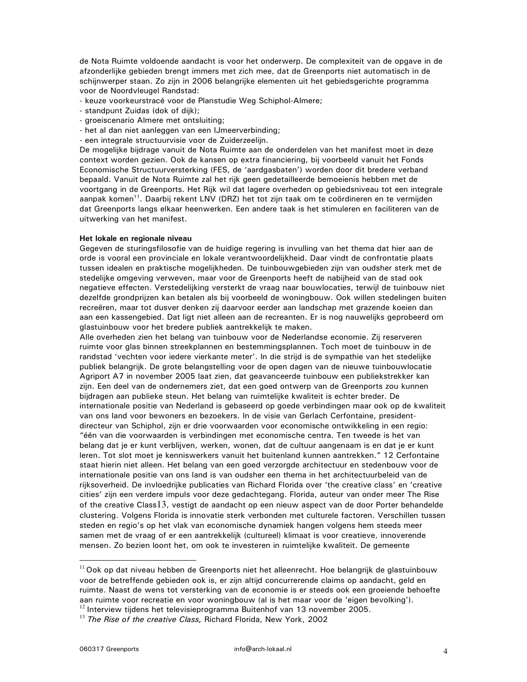de Nota Ruimte voldoende aandacht is voor het onderwerp. De complexiteit van de opgave in de afzonderlijke gebieden brengt immers met zich mee, dat de Greenports niet automatisch in de schijnwerper staan. Zo zijn in 2006 belangrijke elementen uit het gebiedsgerichte programma voor de Noordvleugel Randstad:

- keuze voorkeurstracé voor de Planstudie Weg Schiphol-Almere;
- standpunt Zuidas (dok of dijk);
- groeiscenario Almere met ontsluiting;
- het al dan niet aanleggen van een IJmeerverbinding;
- een integrale structuurvisie voor de Zuiderzeelijn.

De mogelijke bijdrage vanuit de Nota Ruimte aan de onderdelen van het manifest moet in deze context worden gezien. Ook de kansen op extra financiering, bij voorbeeld vanuit het Fonds Economische Structuurversterking (FES, de 'aardgasbaten') worden door dit bredere verband bepaald. Vanuit de Nota Ruimte zal het rijk geen gedetailleerde bemoeienis hebben met de voortgang in de Greenports. Het Rijk wil dat lagere overheden op gebiedsniveau tot een integrale aanpak komen<sup>11</sup>. Daarbij rekent LNV (DRZ) het tot zijn taak om te coördineren en te vermijden dat Greenports langs elkaar heenwerken. Een andere taak is het stimuleren en faciliteren van de uitwerking van het manifest.

#### Het lokale en regionale niveau

Gegeven de sturingsfilosofie van de huidige regering is invulling van het thema dat hier aan de orde is vooral een provinciale en lokale verantwoordelijkheid. Daar vindt de confrontatie plaats tussen idealen en praktische mogelijkheden. De tuinbouwgebieden zijn van oudsher sterk met de stedelijke omgeving verweven, maar voor de Greenports heeft de nabijheid van de stad ook negatieve effecten. Verstedelijking versterkt de vraag naar bouwlocaties, terwijl de tuinbouw niet dezelfde grondprijzen kan betalen als bij voorbeeld de woningbouw. Ook willen stedelingen buiten recreëren, maar tot dusver denken zij daarvoor eerder aan landschap met grazende koeien dan aan een kassengebied. Dat ligt niet alleen aan de recreanten. Er is nog nauwelijks geprobeerd om glastuinbouw voor het bredere publiek aantrekkelijk te maken.

Alle overheden zien het belang van tuinbouw voor de Nederlandse economie. Zij reserveren ruimte voor glas binnen streekplannen en bestemmingsplannen. Toch moet de tuinbouw in de randstad 'vechten voor iedere vierkante meter'. In die strijd is de sympathie van het stedelijke publiek belangrijk. De grote belangstelling voor de open dagen van de nieuwe tuinbouwlocatie Agriport A7 in november 2005 laat zien, dat geavanceerde tuinbouw een publiekstrekker kan zijn. Een deel van de ondernemers ziet, dat een goed ontwerp van de Greenports zou kunnen bijdragen aan publieke steun. Het belang van ruimtelijke kwaliteit is echter breder. De internationale positie van Nederland is gebaseerd op goede verbindingen maar ook op de kwaliteit van ons land voor bewoners en bezoekers. In de visie van Gerlach Cerfontaine, presidentdirecteur van Schiphol, zijn er drie voorwaarden voor economische ontwikkeling in een regio: "één van die voorwaarden is verbindingen met economische centra. Ten tweede is het van belang dat je er kunt verblijven, werken, wonen, dat de cultuur aangenaam is en dat je er kunt leren. Tot slot moet je kenniswerkers vanuit het buitenland kunnen aantrekken." 12 Cerfontaine staat hierin niet alleen. Het belang van een goed verzorgde architectuur en stedenbouw voor de internationale positie van ons land is van oudsher een thema in het architectuurbeleid van de rijksoverheid. De invloedrijke publicaties van Richard Florida over 'the creative class' en 'creative cities' zijn een verdere impuls voor deze gedachtegang. Florida, auteur van onder meer The Rise of the creative Class13, vestigt de aandacht op een nieuw aspect van de door Porter behandelde clustering. Volgens Florida is innovatie sterk verbonden met culturele factoren. Verschillen tussen steden en regio's op het vlak van economische dynamiek hangen volgens hem steeds meer samen met de vraag of er een aantrekkelijk (cultureel) klimaat is voor creatieve, innoverende mensen. Zo bezien loont het, om ook te investeren in ruimtelijke kwaliteit. De gemeente

 $11$  Ook op dat niveau hebben de Greenports niet het alleenrecht. Hoe belangrijk de glastuinbouw voor de betreffende gebieden ook is, er zijn altijd concurrerende claims op aandacht, geld en ruimte. Naast de wens tot versterking van de economie is er steeds ook een groeiende behoefte aan ruimte voor recreatie en voor woningbouw (al is het maar voor de 'eigen bevolking').

 $12$  Interview tijdens het televisieprogramma Buitenhof van 13 november 2005.

 $^{13}$  The Rise of the creative Class, Richard Florida, New York, 2002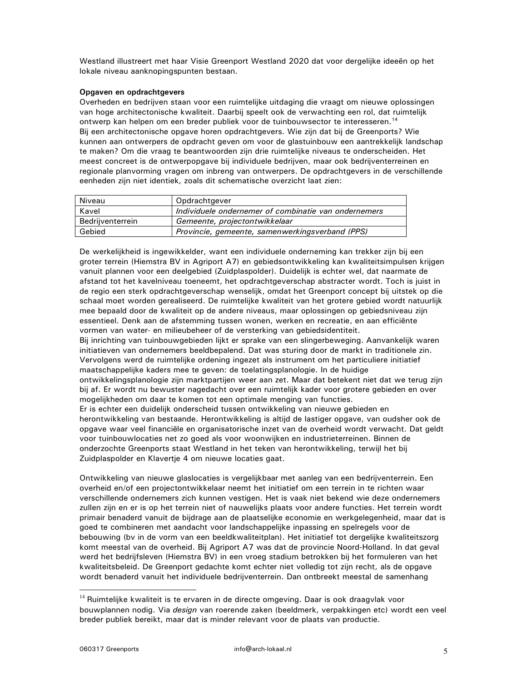Westland illustreert met haar Visie Greenport Westland 2020 dat voor dergelijke ideeën op het lokale niveau aanknopingspunten bestaan.

### Opgaven en opdrachtgevers

Overheden en bedrijven staan voor een ruimtelijke uitdaging die vraagt om nieuwe oplossingen van hoge architectonische kwaliteit. Daarbij speelt ook de verwachting een rol, dat ruimtelijk ontwerp kan helpen om een breder publiek voor de tuinbouwsector te interesseren.<sup>14</sup> Bij een architectonische opgave horen opdrachtgevers. Wie zijn dat bij de Greenports? Wie kunnen aan ontwerpers de opdracht geven om voor de glastuinbouw een aantrekkelijk landschap te maken? Om die vraag te beantwoorden zijn drie ruimtelijke niveaus te onderscheiden. Het meest concreet is de ontwerpopgave bij individuele bedrijven, maar ook bedrijventerreinen en regionale planvorming vragen om inbreng van ontwerpers. De opdrachtgevers in de verschillende eenheden zijn niet identiek, zoals dit schematische overzicht laat zien:

| Niveau           | Opdrachtgever                                        |
|------------------|------------------------------------------------------|
| Kavel            | Individuele ondernemer of combinatie van ondernemers |
| Bedrijventerrein | Gemeente, projectontwikkelaar                        |
| Gebied           | Provincie, gemeente, samenwerkingsverband (PPS)      |
|                  |                                                      |

De werkelijkheid is ingewikkelder, want een individuele onderneming kan trekker zijn bij een groter terrein (Hiemstra BV in Agriport A7) en gebiedsontwikkeling kan kwaliteitsimpulsen krijgen vanuit plannen voor een deelgebied (Zuidplaspolder). Duidelijk is echter wel, dat naarmate de afstand tot het kavelniveau toeneemt, het opdrachtgeverschap abstracter wordt. Toch is juist in de regio een sterk opdrachtgeverschap wenselijk, omdat het Greenport concept bij uitstek op die schaal moet worden gerealiseerd. De ruimtelijke kwaliteit van het grotere gebied wordt natuurlijk mee bepaald door de kwaliteit op de andere niveaus, maar oplossingen op gebiedsniveau zijn essentieel. Denk aan de afstemming tussen wonen, werken en recreatie, en aan efficiënte vormen van water- en milieubeheer of de versterking van gebiedsidentiteit.

Bij inrichting van tuinbouwgebieden lijkt er sprake van een slingerbeweging. Aanvankelijk waren initiatieven van ondernemers beeldbepalend. Dat was sturing door de markt in traditionele zin. Vervolgens werd de ruimtelijke ordening ingezet als instrument om het particuliere initiatief maatschappelijke kaders mee te geven: de toelatingsplanologie. In de huidige ontwikkelingsplanologie zijn marktpartijen weer aan zet. Maar dat betekent niet dat we terug zijn bij af. Er wordt nu bewuster nagedacht over een ruimtelijk kader voor grotere gebieden en over mogelijkheden om daar te komen tot een optimale menging van functies. Er is echter een duidelijk onderscheid tussen ontwikkeling van nieuwe gebieden en herontwikkeling van bestaande. Herontwikkeling is altijd de lastiger opgave, van oudsher ook de

opgave waar veel financiële en organisatorische inzet van de overheid wordt verwacht. Dat geldt voor tuinbouwlocaties net zo goed als voor woonwijken en industrieterreinen. Binnen de onderzochte Greenports staat Westland in het teken van herontwikkeling, terwijl het bij Zuidplaspolder en Klavertje 4 om nieuwe locaties gaat.

Ontwikkeling van nieuwe glaslocaties is vergelijkbaar met aanleg van een bedrijventerrein. Een overheid en/of een projectontwikkelaar neemt het initiatief om een terrein in te richten waar verschillende ondernemers zich kunnen vestigen. Het is vaak niet bekend wie deze ondernemers zullen zijn en er is op het terrein niet of nauwelijks plaats voor andere functies. Het terrein wordt primair benaderd vanuit de bijdrage aan de plaatselijke economie en werkgelegenheid, maar dat is goed te combineren met aandacht voor landschappelijke inpassing en spelregels voor de bebouwing (bv in de vorm van een beeldkwaliteitplan). Het initiatief tot dergelijke kwaliteitszorg komt meestal van de overheid. Bij Agriport A7 was dat de provincie Noord-Holland. In dat geval werd het bedrijfsleven (Hiemstra BV) in een vroeg stadium betrokken bij het formuleren van het kwaliteitsbeleid. De Greenport gedachte komt echter niet volledig tot zijn recht, als de opgave wordt benaderd vanuit het individuele bedrijventerrein. Dan ontbreekt meestal de samenhang

<sup>&</sup>lt;sup>14</sup> Ruimtelijke kwaliteit is te ervaren in de directe omgeving. Daar is ook draagvlak voor bouwplannen nodig. Via design van roerende zaken (beeldmerk, verpakkingen etc) wordt een veel breder publiek bereikt, maar dat is minder relevant voor de plaats van productie.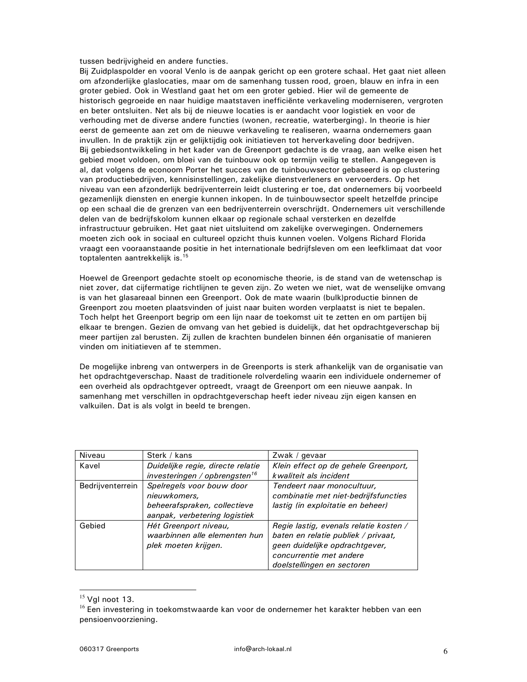tussen bedrijvigheid en andere functies.

Bij Zuidplaspolder en vooral Venlo is de aanpak gericht op een grotere schaal. Het gaat niet alleen om afzonderlijke glaslocaties, maar om de samenhang tussen rood, groen, blauw en infra in een groter gebied. Ook in Westland gaat het om een groter gebied. Hier wil de gemeente de historisch gegroeide en naar huidige maatstaven inefficiënte verkaveling moderniseren, vergroten en beter ontsluiten. Net als bij de nieuwe locaties is er aandacht voor logistiek en voor de verhouding met de diverse andere functies (wonen, recreatie, waterberging). In theorie is hier eerst de gemeente aan zet om de nieuwe verkaveling te realiseren, waarna ondernemers gaan invullen. In de praktijk zijn er gelijktijdig ook initiatieven tot herverkaveling door bedrijven. Bij gebiedsontwikkeling in het kader van de Greenport gedachte is de vraag, aan welke eisen het gebied moet voldoen, om bloei van de tuinbouw ook op termijn veilig te stellen. Aangegeven is al, dat volgens de econoom Porter het succes van de tuinbouwsector gebaseerd is op clustering van productiebedrijven, kennisinstellingen, zakelijke dienstverleners en vervoerders. Op het niveau van een afzonderlijk bedrijventerrein leidt clustering er toe, dat ondernemers bij voorbeeld gezamenlijk diensten en energie kunnen inkopen. In de tuinbouwsector speelt hetzelfde principe op een schaal die de grenzen van een bedrijventerrein overschrijdt. Ondernemers uit verschillende delen van de bedrijfskolom kunnen elkaar op regionale schaal versterken en dezelfde infrastructuur gebruiken. Het gaat niet uitsluitend om zakelijke overwegingen. Ondernemers moeten zich ook in sociaal en cultureel opzicht thuis kunnen voelen. Volgens Richard Florida vraagt een vooraanstaande positie in het internationale bedrijfsleven om een leefklimaat dat voor toptalenten aantrekkelijk is.<sup>15</sup>

Hoewel de Greenport gedachte stoelt op economische theorie, is de stand van de wetenschap is niet zover, dat cijfermatige richtlijnen te geven zijn. Zo weten we niet, wat de wenselijke omvang is van het glasareaal binnen een Greenport. Ook de mate waarin (bulk)productie binnen de Greenport zou moeten plaatsvinden of juist naar buiten worden verplaatst is niet te bepalen. Toch helpt het Greenport begrip om een lijn naar de toekomst uit te zetten en om partijen bij elkaar te brengen. Gezien de omvang van het gebied is duidelijk, dat het opdrachtgeverschap bij meer partijen zal berusten. Zij zullen de krachten bundelen binnen één organisatie of manieren vinden om initiatieven af te stemmen.

De mogelijke inbreng van ontwerpers in de Greenports is sterk afhankelijk van de organisatie van het opdrachtgeverschap. Naast de traditionele rolverdeling waarin een individuele ondernemer of een overheid als opdrachtgever optreedt, vraagt de Greenport om een nieuwe aanpak. In samenhang met verschillen in opdrachtgeverschap heeft ieder niveau zijn eigen kansen en valkuilen. Dat is als volgt in beeld te brengen.

| Niveau           | Sterk / kans                              | Zwak / gevaar                                                      |
|------------------|-------------------------------------------|--------------------------------------------------------------------|
| Kavel            | Duidelijke regie, directe relatie         | Klein effect op de gehele Greenport,                               |
|                  | investeringen / opbrengsten <sup>16</sup> | kwaliteit als incident                                             |
| Bedrijventerrein | Spelregels voor bouw door<br>nieuwkomers, | Tendeert naar monocultuur,<br>combinatie met niet-bedrijfsfuncties |
|                  | beheerafspraken, collectieve              | lastig (in exploitatie en beheer)                                  |
|                  | aanpak, verbetering logistiek             |                                                                    |
| Gebied           | Hét Greenport niveau,                     | Regie lastig, evenals relatie kosten /                             |
|                  | waarbinnen alle elementen hun             | baten en relatie publiek / privaat,                                |
|                  | plek moeten krijgen.                      | geen duidelijke opdrachtgever,                                     |
|                  |                                           | concurrentie met andere                                            |
|                  |                                           | doelstellingen en sectoren                                         |

 $15$  Vgl noot 13.

<sup>&</sup>lt;sup>16</sup> Een investering in toekomstwaarde kan voor de ondernemer het karakter hebben van een pensioenvoorziening.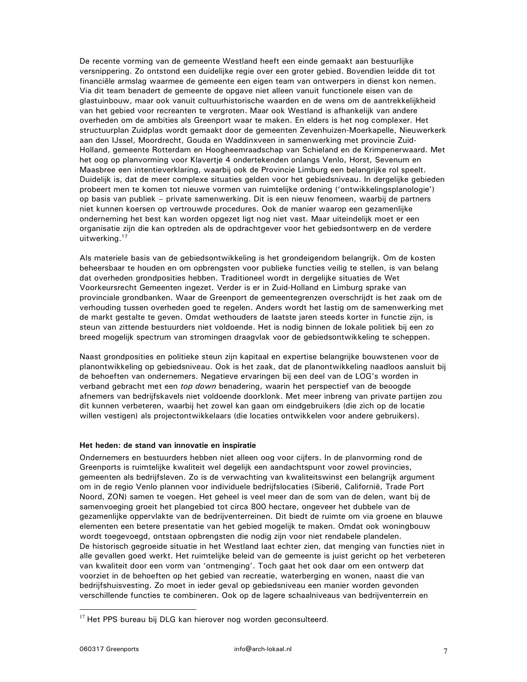De recente vorming van de gemeente Westland heeft een einde gemaakt aan bestuurlijke versnippering. Zo ontstond een duidelijke regie over een groter gebied. Bovendien leidde dit tot financiële armslag waarmee de gemeente een eigen team van ontwerpers in dienst kon nemen. Via dit team benadert de gemeente de opgave niet alleen vanuit functionele eisen van de glastuinbouw, maar ook vanuit cultuurhistorische waarden en de wens om de aantrekkelijkheid van het gebied voor recreanten te vergroten. Maar ook Westland is afhankelijk van andere overheden om de ambities als Greenport waar te maken. En elders is het nog complexer. Het structuurplan Zuidplas wordt gemaakt door de gemeenten Zevenhuizen-Moerkapelle, Nieuwerkerk aan den IJssel, Moordrecht, Gouda en Waddinxveen in samenwerking met provincie Zuid-Holland, gemeente Rotterdam en Hoogheemraadschap van Schieland en de Krimpenerwaard. Met het oog op planvorming voor Klavertje 4 ondertekenden onlangs Venlo, Horst, Sevenum en Maasbree een intentieverklaring, waarbij ook de Provincie Limburg een belangrijke rol speelt. Duidelijk is, dat de meer complexe situaties gelden voor het gebiedsniveau. In dergelijke gebieden probeert men te komen tot nieuwe vormen van ruimtelijke ordening ('ontwikkelingsplanologie') op basis van publiek - private samenwerking. Dit is een nieuw fenomeen, waarbij de partners niet kunnen koersen op vertrouwde procedures. Ook de manier waarop een gezamenlijke onderneming het best kan worden opgezet ligt nog niet vast. Maar uiteindelijk moet er een organisatie zijn die kan optreden als de opdrachtgever voor het gebiedsontwerp en de verdere uitwerking.<sup>17</sup>

Als materiele basis van de gebiedsontwikkeling is het grondeigendom belangrijk. Om de kosten beheersbaar te houden en om opbrengsten voor publieke functies veilig te stellen, is van belang dat overheden grondposities hebben. Traditioneel wordt in dergelijke situaties de Wet Voorkeursrecht Gemeenten ingezet. Verder is er in Zuid-Holland en Limburg sprake van provinciale grondbanken. Waar de Greenport de gemeentegrenzen overschrijdt is het zaak om de verhouding tussen overheden goed te regelen. Anders wordt het lastig om de samenwerking met de markt gestalte te geven. Omdat wethouders de laatste jaren steeds korter in functie zijn, is steun van zittende bestuurders niet voldoende. Het is nodig binnen de lokale politiek bij een zo breed mogelijk spectrum van stromingen draagvlak voor de gebiedsontwikkeling te scheppen.

Naast grondposities en politieke steun zijn kapitaal en expertise belangrijke bouwstenen voor de planontwikkeling op gebiedsniveau. Ook is het zaak, dat de planontwikkeling naadloos aansluit bij de behoeften van ondernemers. Negatieve ervaringen bij een deel van de LOG's worden in verband gebracht met een *top down* benadering, waarin het perspectief van de beoogde afnemers van bedrijfskavels niet voldoende doorklonk. Met meer inbreng van private partijen zou dit kunnen verbeteren, waarbij het zowel kan gaan om eindgebruikers (die zich op de locatie willen vestigen) als projectontwikkelaars (die locaties ontwikkelen voor andere gebruikers).

#### Het heden: de stand van innovatie en inspiratie

Ondernemers en bestuurders hebben niet alleen oog voor cijfers. In de planvorming rond de Greenports is ruimtelijke kwaliteit wel degelijk een aandachtspunt voor zowel provincies, gemeenten als bedrijfsleven. Zo is de verwachting van kwaliteitswinst een belangrijk argument om in de regio Venlo plannen voor individuele bedrijfslocaties (Siberië, Californië, Trade Port Noord, ZON) samen te voegen. Het geheel is veel meer dan de som van de delen, want bij de samenvoeging groeit het plangebied tot circa 800 hectare, ongeveer het dubbele van de gezamenlijke oppervlakte van de bedrijventerreinen. Dit biedt de ruimte om via groene en blauwe elementen een betere presentatie van het gebied mogelijk te maken. Omdat ook woningbouw wordt toegevoegd, ontstaan opbrengsten die nodig zijn voor niet rendabele plandelen. De historisch gegroeide situatie in het Westland laat echter zien, dat menging van functies niet in alle gevallen goed werkt. Het ruimtelijke beleid van de gemeente is juist gericht op het verbeteren van kwaliteit door een vorm van 'ontmenging'. Toch gaat het ook daar om een ontwerp dat voorziet in de behoeften op het gebied van recreatie, waterberging en wonen, naast die van bedrijfshuisvesting. Zo moet in ieder geval op gebiedsniveau een manier worden gevonden verschillende functies te combineren. Ook op de lagere schaalniveaus van bedrijventerrein en

 $17$  Het PPS bureau bij DLG kan hierover nog worden geconsulteerd.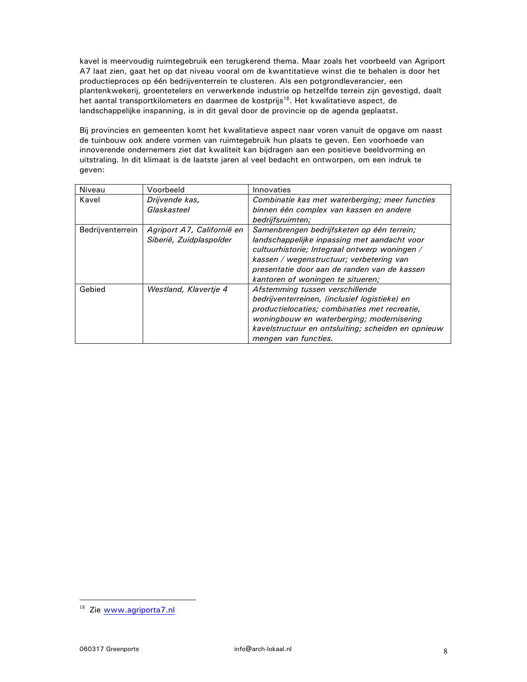kavel is meervoudig ruimtegebruik een terugkerend thema. Maar zoals het voorbeeld van Agriport A7 laat zien, gaat het op dat niveau vooral om de kwantitatieve winst die te behalen is door het productieproces op één bedrijventerrein te clusteren. Als een potgrondleverancier, een plantenkwekerij, groentetelers en verwerkende industrie op hetzelfde terrein zijn gevestigd, daalt het aantal transportkilometers en daarmee de kostprijs<sup>18</sup>. Het kwalitatieve aspect, de landschappelijke inspanning, is in dit geval door de provincie op de agenda geplaatst.

Bij provincies en gemeenten komt het kwalitatieve aspect naar voren vanuit de opgave om naast de tuinbouw ook andere vormen van ruimtegebruik hun plaats te geven. Een voorhoede van innoverende ondernemers ziet dat kwaliteit kan bijdragen aan een positieve beeldvorming en uitstraling. In dit klimaat is de laatste jaren al veel bedacht en ontworpen, om een indruk te geven:

| Niveau           | Voorbeeld                                             | Innovaties                                                                                                                                                                                                                                                                   |
|------------------|-------------------------------------------------------|------------------------------------------------------------------------------------------------------------------------------------------------------------------------------------------------------------------------------------------------------------------------------|
| Kavel            | Drijvende kas,<br>Glaskasteel                         | Combinatie kas met waterberging; meer functies<br>binnen één complex van kassen en andere<br>bedrijfsruimten;                                                                                                                                                                |
| Bedrijventerrein | Agriport A7, Californië en<br>Siberië, Zuidplaspolder | Samenbrengen bedrijfsketen op één terrein;<br>landschappelijke inpassing met aandacht voor<br>cultuurhistorie; Integraal ontwerp woningen /<br>kassen / wegenstructuur; verbetering van<br>presentatie door aan de randen van de kassen<br>kantoren of woningen te situeren; |
| Gebied           | Westland, Klavertie 4                                 | Afstemming tussen verschillende<br>bedrijventerreinen, (inclusief logistieke) en<br>productielocaties; combinaties met recreatie,<br>woningbouw en waterberging; modernisering<br>kavelstructuur en ontsluiting; scheiden en opnieuw<br>mengen van functies.                 |

<sup>&</sup>lt;sup>18</sup> Zie www.agriporta7.nl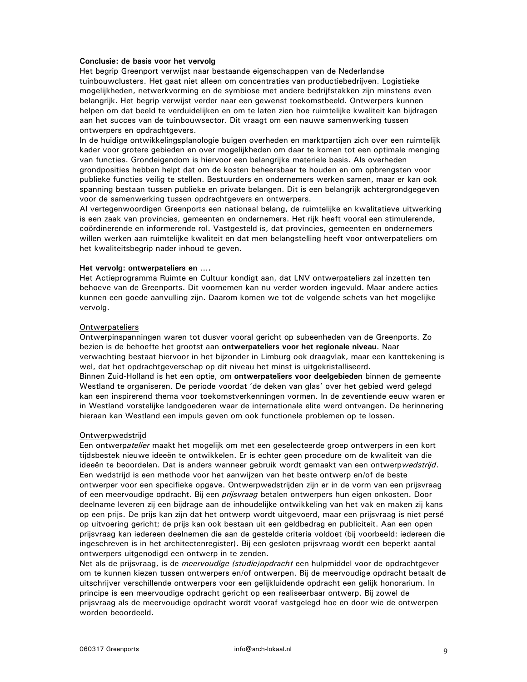### Conclusie: de basis voor het vervolg

Het begrip Greenport verwijst naar bestaande eigenschappen van de Nederlandse tuinbouwclusters. Het gaat niet alleen om concentraties van productiebedrijven. Logistieke mogelijkheden, netwerkvorming en de symbiose met andere bedrijfstakken zijn minstens even belangrijk. Het begrip verwijst verder naar een gewenst toekomstbeeld. Ontwerpers kunnen helpen om dat beeld te verduidelijken en om te laten zien hoe ruimtelijke kwaliteit kan bijdragen aan het succes van de tuinbouwsector. Dit vraagt om een nauwe samenwerking tussen ontwerpers en opdrachtgevers.

In de huidige ontwikkelingsplanologie buigen overheden en marktpartijen zich over een ruimtelijk kader voor grotere gebieden en over mogelijkheden om daar te komen tot een optimale menging van functies. Grondeigendom is hiervoor een belangrijke materiele basis. Als overheden grondposities hebben helpt dat om de kosten beheersbaar te houden en om opbrengsten voor publieke functies veilig te stellen. Bestuurders en ondernemers werken samen, maar er kan ook spanning bestaan tussen publieke en private belangen. Dit is een belangrijk achtergrondgegeven voor de samenwerking tussen opdrachtgevers en ontwerpers.

Al vertegenwoordigen Greenports een nationaal belang, de ruimtelijke en kwalitatieve uitwerking is een zaak van provincies, gemeenten en ondernemers. Het rijk heeft vooral een stimulerende, coördinerende en informerende rol. Vastgesteld is, dat provincies, gemeenten en ondernemers willen werken aan ruimtelijke kwaliteit en dat men belangstelling heeft voor ontwerpateliers om het kwaliteitsbegrip nader inhoud te geven.

#### Het vervolg: ontwerpateliers en ....

Het Actieprogramma Ruimte en Cultuur kondigt aan, dat LNV ontwerpateliers zal inzetten ten behoeve van de Greenports. Dit voornemen kan nu verder worden ingevuld. Maar andere acties kunnen een goede aanvulling zijn. Daarom komen we tot de volgende schets van het mogelijke vervolg.

#### Ontwerpateliers

Ontwerpinspanningen waren tot dusver vooral gericht op subeenheden van de Greenports. Zo bezien is de behoefte het grootst aan ontwerpateliers voor het regionale niveau. Naar verwachting bestaat hiervoor in het bijzonder in Limburg ook draagvlak, maar een kanttekening is wel, dat het opdrachtgeverschap op dit niveau het minst is uitgekristalliseerd. Binnen Zuid-Holland is het een optie, om ontwerpateliers voor deelgebieden binnen de gemeente Westland te organiseren. De periode voordat 'de deken van glas' over het gebied werd gelegd kan een inspirerend thema voor toekomstverkenningen vormen. In de zeventiende eeuw waren er in Westland vorstelijke landgoederen waar de internationale elite werd ontvangen. De herinnering hieraan kan Westland een impuls geven om ook functionele problemen op te lossen.

#### Ontwerpwedstrijd

Een ontwerpatelier maakt het mogelijk om met een geselecteerde groep ontwerpers in een kort tijdsbestek nieuwe ideeën te ontwikkelen. Er is echter geen procedure om de kwaliteit van die ideeën te beoordelen. Dat is anders wanneer gebruik wordt gemaakt van een ontwerpwedstrijd. Een wedstrijd is een methode voor het aanwijzen van het beste ontwerp en/of de beste ontwerper voor een specifieke opgave. Ontwerpwedstrijden zijn er in de vorm van een prijsvraag of een meervoudige opdracht. Bij een *prijsvraag* betalen ontwerpers hun eigen onkosten. Door deelname leveren zij een bijdrage aan de inhoudelijke ontwikkeling van het vak en maken zij kans op een prijs. De prijs kan zijn dat het ontwerp wordt uitgevoerd, maar een prijsvraag is niet persé op uitvoering gericht; de prijs kan ook bestaan uit een geldbedrag en publiciteit. Aan een open prijsvraag kan iedereen deelnemen die aan de gestelde criteria voldoet (bij voorbeeld: iedereen die ingeschreven is in het architectenregister). Bij een gesloten prijsvraag wordt een beperkt aantal ontwerpers uitgenodigd een ontwerp in te zenden.

Net als de prijsvraag, is de *meervoudige (studie)opdracht* een hulpmiddel voor de opdrachtgever om te kunnen kiezen tussen ontwerpers en/of ontwerpen. Bij de meervoudige opdracht betaalt de uitschrijver verschillende ontwerpers voor een gelijkluidende opdracht een gelijk honorarium. In principe is een meervoudige opdracht gericht op een realiseerbaar ontwerp. Bij zowel de prijsvraag als de meervoudige opdracht wordt vooraf vastgelegd hoe en door wie de ontwerpen worden beoordeeld.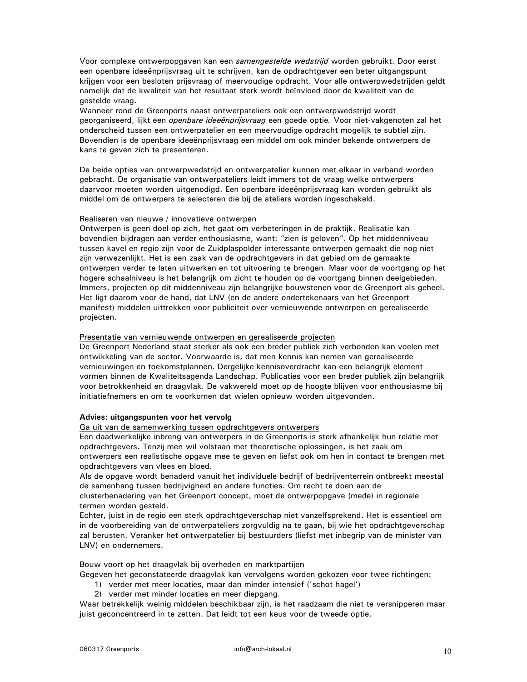Voor complexe ontwerpopgaven kan een samengestelde wedstrijd worden gebruikt. Door eerst een openbare ideeënprijsvraag uit te schrijven, kan de opdrachtgever een beter uitgangspunt krijgen voor een besloten prijsvraag of meervoudige opdracht. Voor alle ontwerpwedstrijden geldt namelijk dat de kwaliteit van het resultaat sterk wordt beïnvloed door de kwaliteit van de gestelde vraag.

Wanneer rond de Greenports naast ontwerpateliers ook een ontwerpwedstrijd wordt georganiseerd, lijkt een *openbare ideeënprijsvraag* een goede optie. Voor niet-vakgenoten zal het onderscheid tussen een ontwerpatelier en een meervoudige opdracht mogelijk te subtiel zijn. Bovendien is de openbare ideeënprijsvraag een middel om ook minder bekende ontwerpers de kans te geven zich te presenteren.

De beide opties van ontwerpwedstrijd en ontwerpatelier kunnen met elkaar in verband worden gebracht. De organisatie van ontwerpateliers leidt immers tot de vraag welke ontwerpers daarvoor moeten worden uitgenodigd. Een openbare ideeënprijsvraag kan worden gebruikt als middel om de ontwerpers te selecteren die bij de ateliers worden ingeschakeld.

### Realiseren van nieuwe / innovatieve ontwerpen

Ontwerpen is geen doel op zich, het gaat om verbeteringen in de praktijk. Realisatie kan bovendien bijdragen aan verder enthousiasme, want: "zien is geloven". Op het middenniveau tussen kavel en regio zijn voor de Zuidplaspolder interessante ontwerpen gemaakt die nog niet zijn verwezenlijkt. Het is een zaak van de opdrachtgevers in dat gebied om de gemaakte ontwerpen verder te laten uitwerken en tot uitvoering te brengen. Maar voor de voortgang op het hogere schaalniveau is het belangrijk om zicht te houden op de voortgang binnen deelgebieden. Immers, projecten op dit middenniveau zijn belangrijke bouwstenen voor de Greenport als geheel. Het ligt daarom voor de hand, dat LNV (en de andere ondertekenaars van het Greenport manifest) middelen uittrekken voor publiciteit over vernieuwende ontwerpen en gerealiseerde projecten.

### Presentatie van vernieuwende ontwerpen en gerealiseerde projecten

De Greenport Nederland staat sterker als ook een breder publiek zich verbonden kan voelen met ontwikkeling van de sector. Voorwaarde is, dat men kennis kan nemen van gerealiseerde vernieuwingen en toekomstplannen. Dergelijke kennisoverdracht kan een belangrijk element vormen binnen de Kwaliteitsagenda Landschap. Publicaties voor een breder publiek zijn belangrijk voor betrokkenheid en draagvlak. De vakwereld moet op de hoogte blijven voor enthousiasme bij initiatiefnemers en om te voorkomen dat wielen opnieuw worden uitgevonden.

### Advies: uitgangspunten voor het vervolg

# Ga uit van de samenwerking tussen opdrachtgevers ontwerpers

Een daadwerkelijke inbreng van ontwerpers in de Greenports is sterk afhankelijk hun relatie met opdrachtgevers. Tenzij men wil volstaan met theoretische oplossingen, is het zaak om ontwerpers een realistische opgave mee te geven en liefst ook om hen in contact te brengen met opdrachtgevers van vlees en bloed.

Als de opgave wordt benaderd vanuit het individuele bedrijf of bedrijventerrein ontbreekt meestal de samenhang tussen bedrijvigheid en andere functies. Om recht te doen aan de

clusterbenadering van het Greenport concept, moet de ontwerpopgave (mede) in regionale termen worden gesteld.

Echter, juist in de regio een sterk opdrachtgeverschap niet vanzelfsprekend. Het is essentieel om in de voorbereiding van de ontwerpateliers zorgvuldig na te gaan, bij wie het opdrachtgeverschap zal berusten. Veranker het ontwerpatelier bij bestuurders (liefst met inbegrip van de minister van LNV) en ondernemers.

### Bouw voort op het draagvlak bij overheden en marktpartijen

Gegeven het geconstateerde draagvlak kan vervolgens worden gekozen voor twee richtingen:

- 1) verder met meer locaties, maar dan minder intensief ('schot hagel')
	- 2) verder met minder locaties en meer diepgang.

Waar betrekkelijk weinig middelen beschikbaar zijn, is het raadzaam die niet te versnipperen maar juist geconcentreerd in te zetten. Dat leidt tot een keus voor de tweede optie.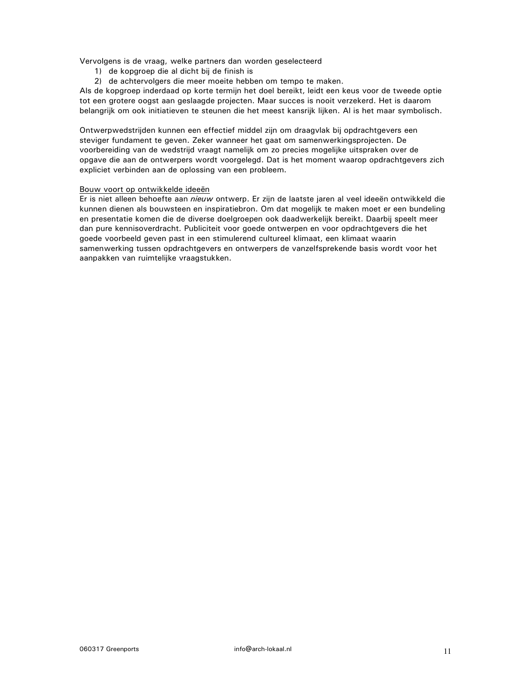Vervolgens is de vraag, welke partners dan worden geselecteerd

- 1) de kopgroep die al dicht bij de finish is
- 2) de achtervolgers die meer moeite hebben om tempo te maken.

Als de kopgroep inderdaad op korte termijn het doel bereikt, leidt een keus voor de tweede optie tot een grotere oogst aan geslaagde projecten. Maar succes is nooit verzekerd. Het is daarom belangrijk om ook initiatieven te steunen die het meest kansrijk lijken. Al is het maar symbolisch.

Ontwerpwedstrijden kunnen een effectief middel zijn om draagvlak bij opdrachtgevers een steviger fundament te geven. Zeker wanneer het gaat om samenwerkingsprojecten. De voorbereiding van de wedstrijd vraagt namelijk om zo precies mogelijke uitspraken over de opgave die aan de ontwerpers wordt voorgelegd. Dat is het moment waarop opdrachtgevers zich expliciet verbinden aan de oplossing van een probleem.

### Bouw voort op ontwikkelde ideeën

Er is niet alleen behoefte aan nieuw ontwerp. Er zijn de laatste jaren al veel ideeën ontwikkeld die kunnen dienen als bouwsteen en inspiratiebron. Om dat mogelijk te maken moet er een bundeling en presentatie komen die de diverse doelgroepen ook daadwerkelijk bereikt. Daarbij speelt meer dan pure kennisoverdracht. Publiciteit voor goede ontwerpen en voor opdrachtgevers die het goede voorbeeld geven past in een stimulerend cultureel klimaat, een klimaat waarin samenwerking tussen opdrachtgevers en ontwerpers de vanzelfsprekende basis wordt voor het aanpakken van ruimtelijke vraagstukken.